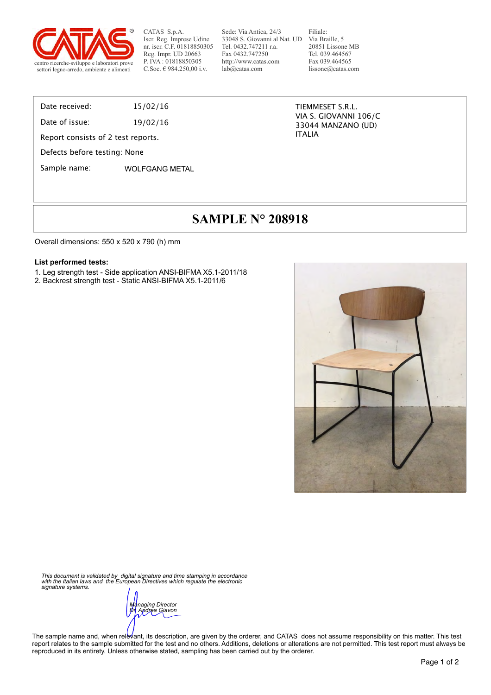

CATAS S.p.A. Iscr. Reg. Imprese Udine nr. iscr. C.F. 01818850305 Reg. Impr. UD 20663 P. IVA : 01818850305

Sede: Via Antica, 24/3 33048 S. Giovanni al Nat. UD Via Braille, 5 Tel. 0432.747211 r.a. Fax 0432.747250 http://www.catas.com lab@catas.com

Filiale: 20851 Lissone MB Tel. 039.464567 Fax 039.464565 lissone@catas.com

Date received: 15/02/16

Date of issue: 19/02/16

Report consists of 2 test reports.

Defects before testing: None

Sample name: WOLFGANG METAL

TIEMMESET S.R.L. VIA S. GIOVANNI 106/C 33044 MANZANO (UD) ITALIA

# **SAMPLE N° 208918**

Overall dimensions: 550 x 520 x 790 (h) mm

#### **List performed tests:**

- 1. Leg strength test Side application ANSI-BIFMA X5.1-2011/18
- 2. Backrest strength test Static ANSI-BIFMA X5.1-2011/6



*This document is validated by digital signature and time stamping in accordance with the Italian laws and the European Directives which regulate the electronic signature systems.* 

*Managing Director Dr. Andrea Giavon* 

The sample name and, when relevant, its description, are given by the orderer, and CATAS does not assume responsibility on this matter. This test report relates to the sample submitted for the test and no others. Additions, deletions or alterations are not permitted. This test report must always be reproduced in its entirety. Unless otherwise stated, sampling has been carried out by the orderer.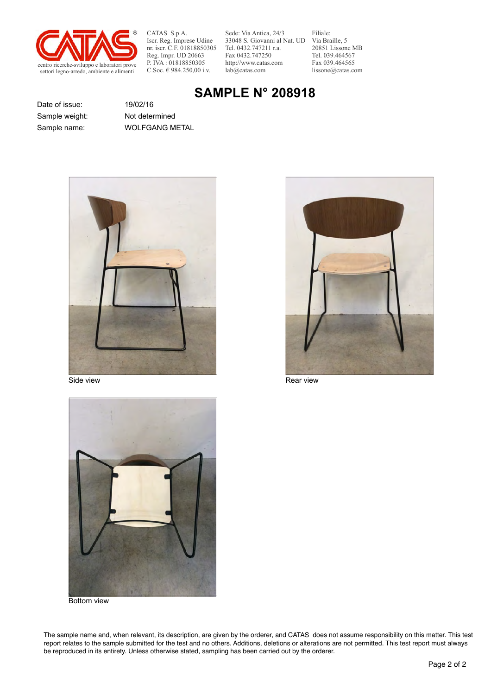

CATAS S.p.A. Iscr. Reg. Imprese Udine nr. iscr. C.F. 01818850305 Reg. Impr. UD 20663 P. IVA : 01818850305<br>C.Soc. € 984.250,00 i.v.

Sede: Via Antica, 24/3 33048 S. Giovanni al Nat. UD Via Braille, 5 Tel. 0432.747211 r.a. Fax 0432.747250 http://www.catas.com lab@catas.com

Filiale: 20851 Lissone MB Tel. 039.464567 Fax 039.464565 lissone@catas.com

# **SAMPLE N° 208918**

Date of issue: 19/02/16 Sample weight: Not determined

Sample name: WOLFGANG METAL





Side view **Rear view** Rear view Rear view Rear view



Bottom view

The sample name and, when relevant, its description, are given by the orderer, and CATAS does not assume responsibility on this matter. This test report relates to the sample submitted for the test and no others. Additions, deletions or alterations are not permitted. This test report must always be reproduced in its entirety. Unless otherwise stated, sampling has been carried out by the orderer.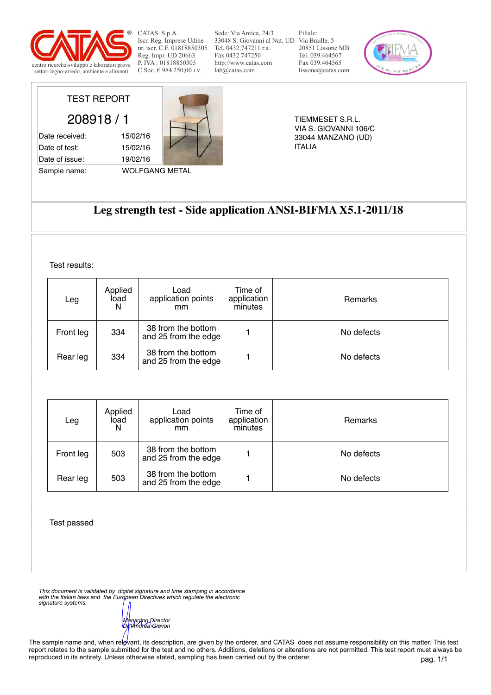

CATAS S.p.A. Iscr. Reg. Imprese Udine nr. iscr. C.F. 01818850305 Reg. Impr. UD 20663 P. IVA : 01818850305<br>C.Soc.  $\in$  984.250.00 i.v.

Sede: Via Antica, 24/3 33048 S. Giovanni al Nat. UD Via Braille, 5 Tel. 0432.747211 r.a. Fax 0432.747250 http://www.catas.com lab@catas.com

Filiale: 20851 Lissone MB Tel. 039.464567 Fax 039.464565 lissone@catas.com



TIEMMESET S.R.L. VIA S. GIOVANNI 106/C 33044 MANZANO (UD) ITALIA

208918 / 1

TEST REPORT

Date of test: 15/02/16 Date of issue: 19/02/16

Sample name: WOLFGANG METAL



### **Leg strength test - Side application ANSI-BIFMA X5.1-2011/18**

Test results:

| Leg       | Applied<br>load<br>N | Load<br>application points<br>mm           | Time of<br>application<br>minutes | Remarks    |
|-----------|----------------------|--------------------------------------------|-----------------------------------|------------|
| Front leg | 334                  | 38 from the bottom<br>and 25 from the edge |                                   | No defects |
| Rear leg  | 334                  | 38 from the bottom<br>and 25 from the edge |                                   | No defects |

| Leg       | Applied<br>load<br>N | Load<br>application points<br>mm           | Time of<br>application<br>minutes | <b>Remarks</b> |
|-----------|----------------------|--------------------------------------------|-----------------------------------|----------------|
| Front leg | 503                  | 38 from the bottom<br>and 25 from the edge |                                   | No defects     |
| Rear leg  | 503                  | 38 from the bottom<br>and 25 from the edge |                                   | No defects     |

Test passed

*This document is validated by digital signature and time stamping in accordance with the Italian laws and the European Directives which regulate the electronic signature systems.* 

*Managing Director Dr. Andrea Giavon* 

The sample name and, when relevant, its description, are given by the orderer, and CATAS does not assume responsibility on this matter. This test report relates to the sample submitted for the test and no others. Additions, deletions or alterations are not permitted. This test report must always be reproduced in its entirety. Unless otherwise stated, sampling has been carried out by the orderer.